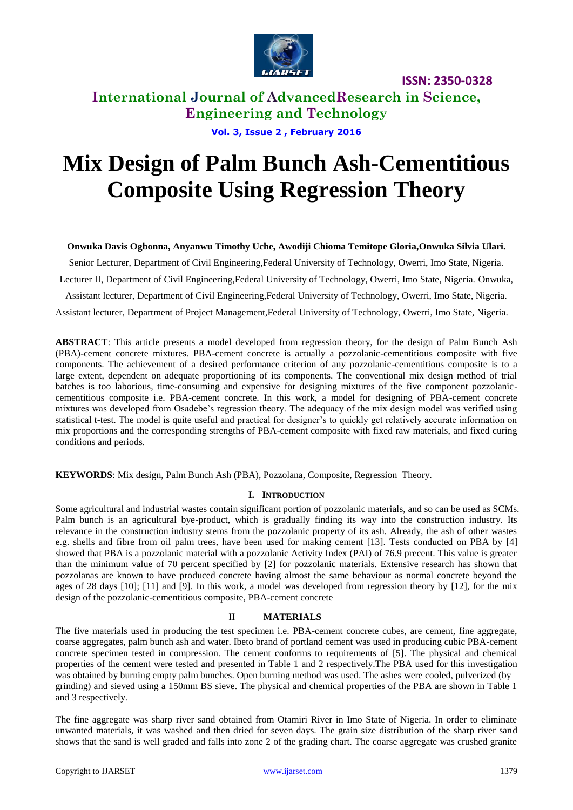

**International Journal of AdvancedResearch in Science, Engineering and Technology**

**Vol. 3, Issue 2 , February 2016**

# **Mix Design of Palm Bunch Ash-Cementitious Composite Using Regression Theory**

### **Onwuka Davis Ogbonna, Anyanwu Timothy Uche, Awodiji Chioma Temitope Gloria,Onwuka Silvia Ulari.**

Senior Lecturer, Department of Civil Engineering,Federal University of Technology, Owerri, Imo State, Nigeria.

Lecturer II, Department of Civil Engineering,Federal University of Technology, Owerri, Imo State, Nigeria. Onwuka,

Assistant lecturer, Department of Civil Engineering,Federal University of Technology, Owerri, Imo State, Nigeria.

Assistant lecturer, Department of Project Management,Federal University of Technology, Owerri, Imo State, Nigeria.

**ABSTRACT**: This article presents a model developed from regression theory, for the design of Palm Bunch Ash (PBA)-cement concrete mixtures. PBA-cement concrete is actually a pozzolanic-cementitious composite with five components. The achievement of a desired performance criterion of any pozzolanic-cementitious composite is to a large extent, dependent on adequate proportioning of its components. The conventional mix design method of trial batches is too laborious, time-consuming and expensive for designing mixtures of the five component pozzolaniccementitious composite i.e. PBA-cement concrete. In this work, a model for designing of PBA-cement concrete mixtures was developed from Osadebe's regression theory. The adequacy of the mix design model was verified using statistical t-test. The model is quite useful and practical for designer's to quickly get relatively accurate information on mix proportions and the corresponding strengths of PBA-cement composite with fixed raw materials, and fixed curing conditions and periods.

**KEYWORDS**: Mix design, Palm Bunch Ash (PBA), Pozzolana, Composite, Regression Theory.

### **I. INTRODUCTION**

Some agricultural and industrial wastes contain significant portion of pozzolanic materials, and so can be used as SCMs. Palm bunch is an agricultural bye-product, which is gradually finding its way into the construction industry. Its relevance in the construction industry stems from the pozzolanic property of its ash. Already, the ash of other wastes e.g. shells and fibre from oil palm trees, have been used for making cement [13]. Tests conducted on PBA by [4] showed that PBA is a pozzolanic material with a pozzolanic Activity Index (PAI) of 76.9 precent. This value is greater than the minimum value of 70 percent specified by [2] for pozzolanic materials. Extensive research has shown that pozzolanas are known to have produced concrete having almost the same behaviour as normal concrete beyond the ages of 28 days [10]; [11] and [9]. In this work, a model was developed from regression theory by [12], for the mix design of the pozzolanic-cementitious composite, PBA-cement concrete

### II **MATERIALS**

The five materials used in producing the test specimen i.e. PBA-cement concrete cubes, are cement, fine aggregate, coarse aggregates, palm bunch ash and water. Ibeto brand of portland cement was used in producing cubic PBA-cement concrete specimen tested in compression. The cement conforms to requirements of [5]. The physical and chemical properties of the cement were tested and presented in Table 1 and 2 respectively.The PBA used for this investigation was obtained by burning empty palm bunches. Open burning method was used. The ashes were cooled, pulverized (by grinding) and sieved using a 150mm BS sieve. The physical and chemical properties of the PBA are shown in Table 1 and 3 respectively.

The fine aggregate was sharp river sand obtained from Otamiri River in Imo State of Nigeria. In order to eliminate unwanted materials, it was washed and then dried for seven days. The grain size distribution of the sharp river sand shows that the sand is well graded and falls into zone 2 of the grading chart. The coarse aggregate was crushed granite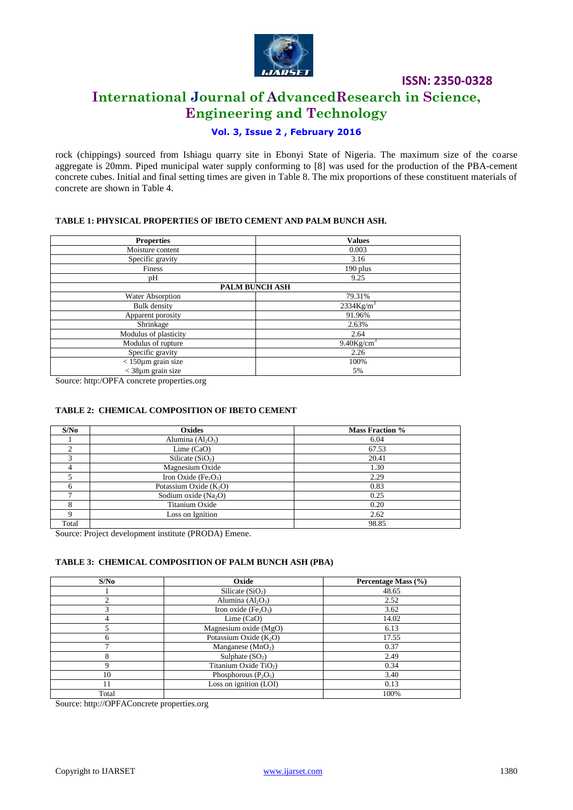

## **International Journal of AdvancedResearch in Science, Engineering and Technology**

### **Vol. 3, Issue 2 , February 2016**

rock (chippings) sourced from Ishiagu quarry site in Ebonyi State of Nigeria. The maximum size of the coarse aggregate is 20mm. Piped municipal water supply conforming to [8] was used for the production of the PBA-cement concrete cubes. Initial and final setting times are given in Table 8. The mix proportions of these constituent materials of concrete are shown in Table 4.

### **TABLE 1: PHYSICAL PROPERTIES OF IBETO CEMENT AND PALM BUNCH ASH.**

| <b>Properties</b>          | <b>Values</b>             |
|----------------------------|---------------------------|
| Moisture content           | 0.003                     |
| Specific gravity           | 3.16                      |
| Finess                     | 190 plus                  |
| рH                         | 9.25                      |
|                            | PALM BUNCH ASH            |
| Water Absorption           | 79.31%                    |
| <b>Bulk</b> density        | $2334$ Kg/m <sup>3</sup>  |
| Apparent porosity          | 91.96%                    |
| Shrinkage                  | 2.63%                     |
| Modulus of plasticity      | 2.64                      |
| Modulus of rupture         | $9.40$ Kg/cm <sup>3</sup> |
| Specific gravity           | 2.26                      |
| $<$ 150 $\mu$ m grain size | 100%                      |
| $<$ 38 $\mu$ m grain size  | 5%                        |

Source: http:/OPFA concrete properties.org

### **TABLE 2: CHEMICAL COMPOSITION OF IBETO CEMENT**

| S/No  | Oxides                                       | <b>Mass Fraction %</b> |
|-------|----------------------------------------------|------------------------|
|       | Alumina $(Al_2O_3)$                          | 6.04                   |
| ◠     | Lime $(CaO)$                                 | 67.53                  |
|       | Silicate $(SiO2)$                            | 20.41                  |
|       | Magnesium Oxide                              | 1.30                   |
|       | Iron Oxide (Fe <sub>2</sub> O <sub>3</sub> ) | 2.29                   |
| 6     | Potassium Oxide $(K_2O)$                     | 0.83                   |
|       | Sodium oxide $(Na2O)$                        | 0.25                   |
|       | Titanium Oxide                               | 0.20                   |
|       | Loss on Ignition                             | 2.62                   |
| Total |                                              | 98.85                  |

Source: Project development institute (PRODA) Emene.

### **TABLE 3: CHEMICAL COMPOSITION OF PALM BUNCH ASH (PBA)**

| S/No  | Oxide                             | Percentage Mass (%) |
|-------|-----------------------------------|---------------------|
|       | Silicate $(SiO2)$                 | 48.65               |
|       | Alumina $(Al_2O_3)$               | 2.52                |
|       | Iron oxide $(Fe2O3)$              | 3.62                |
| 4     | Lime $(CaO)$                      | 14.02               |
|       | Magnesium oxide (MgO)             | 6.13                |
| 6     | Potassium Oxide $(K2O)$           | 17.55               |
|       | Manganese $(MnO2)$                | 0.37                |
| 8     | Sulphate $(SO2)$                  | 2.49                |
| Q     | Titanium Oxide TiO <sub>2</sub> ) | 0.34                |
| 10    | Phosphorous $(P_2O_5)$            | 3.40                |
| 11    | Loss on ignition (LOI)            | 0.13                |
| Total |                                   | 100%                |

Source: http://OPFAConcrete properties.org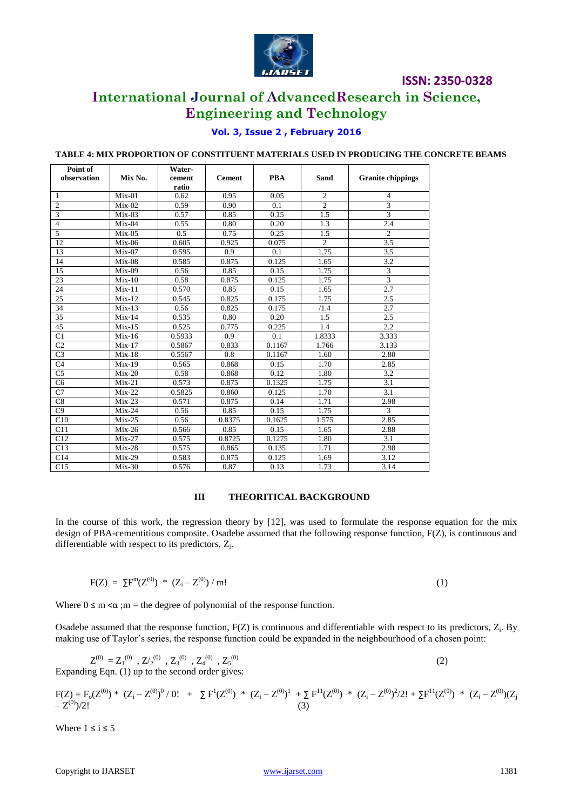

## **International Journal of AdvancedResearch in Science, Engineering and Technology**

### **Vol. 3, Issue 2 , February 2016**

### **TABLE 4: MIX PROPORTION OF CONSTITUENT MATERIALS USED IN PRODUCING THE CONCRETE BEAMS**

| Point of        |          | Water- |               |            |                |                          |
|-----------------|----------|--------|---------------|------------|----------------|--------------------------|
| observation     | Mix No.  | cement | <b>Cement</b> | <b>PBA</b> | Sand           | <b>Granite chippings</b> |
|                 |          | ratio  |               |            |                |                          |
| -1              | $Mix-01$ | 0.62   | 0.95          | 0.05       | $\overline{2}$ | 4                        |
| $\overline{2}$  | $Mix-02$ | 0.59   | 0.90          | 0.1        | $\mathfrak{D}$ | 3                        |
| 3               | $Mix-03$ | 0.57   | 0.85          | 0.15       | 1.5            | 3                        |
| $\overline{4}$  | $Mix-04$ | 0.55   | 0.80          | 0.20       | 1.3            | 2.4                      |
| $\overline{5}$  | $Mix-05$ | 0.5    | 0.75          | 0.25       | 1.5            | $\overline{2}$           |
| 12              | $Mix-06$ | 0.605  | 0.925         | 0.075      | $\overline{2}$ | 3.5                      |
| 13              | $Mix-07$ | 0.595  | 0.9           | 0.1        | 1.75           | 3.5                      |
| 14              | $Mix-08$ | 0.585  | 0.875         | 0.125      | 1.65           | 3.2                      |
| 15              | $Mix-09$ | 0.56   | 0.85          | 0.15       | 1.75           | 3                        |
| $23\,$          | $Mix-10$ | 0.58   | 0.875         | 0.125      | 1.75           | 3                        |
| 24              | $Mix-11$ | 0.570  | 0.85          | 0.15       | 1.65           | 2.7                      |
| 25              | $Mix-12$ | 0.545  | 0.825         | 0.175      | 1.75           | 2.5                      |
| 34              | $Mix-13$ | 0.56   | 0.825         | 0.175      | /1.4           | 2.7                      |
| 35              | $Mix-14$ | 0.535  | 0.80          | 0.20       | 1.5            | 2.5                      |
| 45              | $Mix-15$ | 0.525  | 0.775         | 0.225      | 1.4            | 2.2                      |
| $\overline{C1}$ | $Mix-16$ | 0.5933 | 0.9           | 0.1        | 1.8333         | 3.333                    |
| C <sub>2</sub>  | $Mix-17$ | 0.5867 | 0.833         | 0.1167     | 1.766          | 3.133                    |
| C <sub>3</sub>  | $Mix-18$ | 0.5567 | 0.8           | 0.1167     | 1.60           | 2.80                     |
| C <sub>4</sub>  | $Mix-19$ | 0.565  | 0.868         | 0.15       | 1.70           | 2.85                     |
| C <sub>5</sub>  | $Mix-20$ | 0.58   | 0.868         | 0.12       | 1.80           | 3.2                      |
| C <sub>6</sub>  | $Mix-21$ | 0.573  | 0.875         | 0.1325     | 1.75           | 3.1                      |
| C7              | $Mix-22$ | 0.5825 | 0.860         | 0.125      | 1.70           | 3.1                      |
| C8              | $Mix-23$ | 0.571  | 0.875         | 0.14       | 1.71           | 2.98                     |
| C9              | $Mix-24$ | 0.56   | 0.85          | 0.15       | 1.75           | 3                        |
| C10             | $Mix-25$ | 0.56   | 0.8375        | 0.1625     | 1.575          | 2.85                     |
| C11             | $Mix-26$ | 0.566  | 0.85          | 0.15       | 1.65           | 2.88                     |
| C12             | $Mix-27$ | 0.575  | 0.8725        | 0.1275     | 1.80           | 3.1                      |
| C13             | $Mix-28$ | 0.575  | 0.865         | 0.135      | 1.71           | 2.98                     |
| C14             | $Mix-29$ | 0.583  | 0.875         | 0.125      | 1.69           | 3.12                     |
| C15             | $Mix-30$ | 0.576  | 0.87          | 0.13       | 1.73           | 3.14                     |

### **III THEORITICAL BACKGROUND**

In the course of this work, the regression theory by [12], was used to formulate the response equation for the mix design of PBA-cementitious composite. Osadebe assumed that the following response function, F(Z), is continuous and differentiable with respect to its predictors, Z<sub>i</sub>.

$$
F(Z) = \Sigma F^{m}(Z^{(0)}) * (Z_{i} - Z^{(0)}) / m! \tag{1}
$$

Where  $0 \le m \le \alpha$ ;  $m =$  the degree of polynomial of the response function.

Osadebe assumed that the response function,  $F(Z)$  is continuous and differentiable with respect to its predictors,  $Z_i$ . By making use of Taylor's series, the response function could be expanded in the neighbourhood of a chosen point:

$$
Z^{(0)} = Z_1^{(0)}, Z_2^{(0)}, Z_3^{(0)}, Z_4^{(0)}, Z_5^{(0)}
$$
  
Expanding Eqn. (1) up to the second order gives: (2)

$$
\begin{array}{ccccccccc} F(Z)=F_{o}(Z^{(0)}) & * & (Z_{i}-Z^{(0)})^{0} \ / \ 0! & + & \Sigma \ F^{1}(Z^{(0)}) & * & (Z_{i}-Z^{(0)})^{1} & + \Sigma \ F^{11}(Z^{(0)}) & * & (Z_{i}-Z^{(0)})^{2} \ / 2! & + \Sigma F^{11}(Z^{(0)}) & * & (Z_{i}-Z^{(0)}) (Z_{j}-Z^{(0)})^{2} \end{array}
$$

Where  $1 \le i \le 5$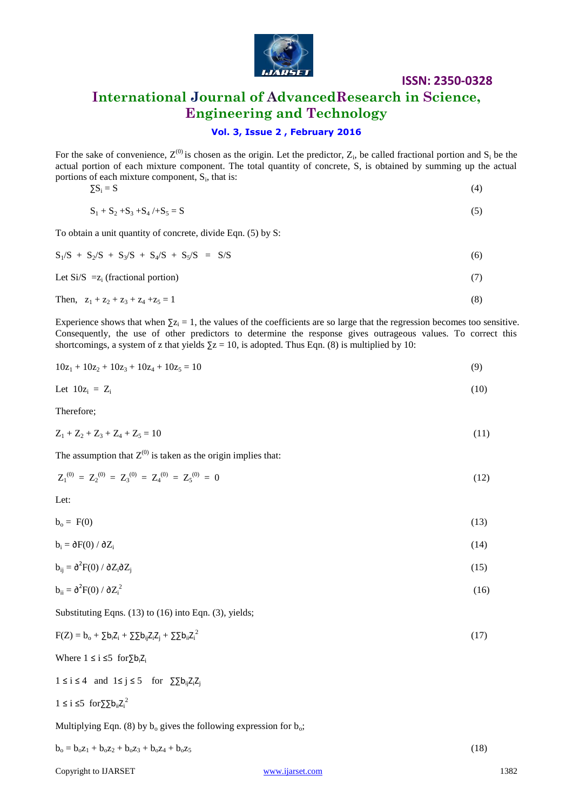

## **International Journal of AdvancedResearch in Science, Engineering and Technology**

### **Vol. 3, Issue 2 , February 2016**

For the sake of convenience,  $Z^{(0)}$  is chosen as the origin. Let the predictor,  $Z_i$ , be called fractional portion and  $S_i$  be the actual portion of each mixture component. The total quantity of concrete, S, is obtained by summing up the actual portions of each mixture component,  $S_i$ , that is:

$$
\Sigma S_i = S \tag{4}
$$

$$
S_1 + S_2 + S_3 + S_4 / + S_5 = S \tag{5}
$$

To obtain a unit quantity of concrete, divide Eqn. (5) by S:

$$
S_1/S + S_2/S + S_3/S + S_4/S + S_5/S = S/S \tag{6}
$$

Let  $Si/S = z_i$  (fractional portion) (7)

Then, 
$$
z_1 + z_2 + z_3 + z_4 + z_5 = 1
$$
 (8)

Experience shows that when  $\Sigma z_i = 1$ , the values of the coefficients are so large that the regression becomes too sensitive. Consequently, the use of other predictors to determine the response gives outrageous values. To correct this shortcomings, a system of z that yields  $\overline{\Sigma z} = 10$ , is adopted. Thus Eqn. (8) is multiplied by 10:

$$
10z_1 + 10z_2 + 10z_3 + 10z_4 + 10z_5 = 10
$$
\n(9)

Let 
$$
10z_i = Z_i
$$
 (10)

Therefore;

$$
Z_1 + Z_2 + Z_3 + Z_4 + Z_5 = 10
$$
\n<sup>(11)</sup>

The assumption that  $Z^{(0)}$  is taken as the origin implies that:

$$
Z_1^{(0)} = Z_2^{(0)} = Z_3^{(0)} = Z_4^{(0)} = Z_5^{(0)} = 0
$$
\n(12)

Let:

 $b_o = F(0)$  (13)

 $b_i = \frac{\partial F(0)}{\partial Z_i}$  (14)

$$
b_{ij} = \partial^2 F(0) / \partial Z_i \partial Z_j
$$
 (15)

$$
b_{ii} = \partial^2 F(0) / \partial Z_i^2 \tag{16}
$$

Substituting Eqns. (13) to (16) into Eqn. (3), yields;

$$
F(Z) = bo + \sum b_i Z_i + \sum b_{ij} Z_i Z_j + \sum b_{ii} Z_i^2
$$
 (17)

Where  $1 \le i \le 5$  for  $\sum b_i Z_i$ 

 $1 \le i \le 4$  and  $1 \le j \le 5$  for  $\sum_{i=1}^{\infty} Z_i Z_i$ 

$$
1 \le i \le 5 \ \text{for} \sum b_{ii} Z_i^2
$$

Multiplying Eqn. (8) by  $b_0$  gives the following expression for  $b_0$ ;

$$
b_o = b_o z_1 + b_o z_2 + b_o z_3 + b_o z_4 + b_o z_5 \tag{18}
$$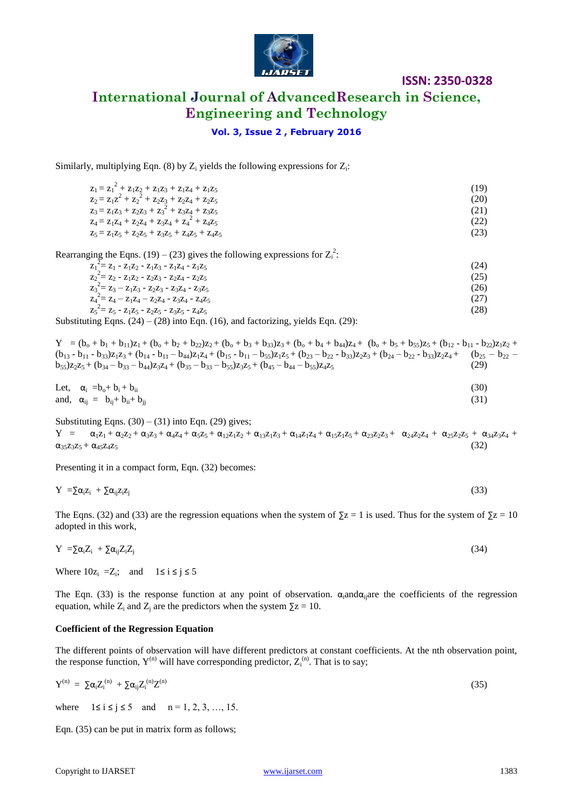

### **International Journal of AdvancedResearch in Science, Engineering and Technology**

### **Vol. 3, Issue 2 , February 2016**

Similarly, multiplying Eqn. (8) by  $Z_i$  yields the following expressions for  $Z_i$ :

| $z_1 = z_1^2 + z_1 z_2 + z_1 z_3 + z_1 z_4 + z_1 z_5$ | (19) |
|-------------------------------------------------------|------|
| $z_2 = z_1 z^2 + z_2^2 + z_2 z_3 + z_2 z_4 + z_2 z_5$ | (20) |
| $z_3 = z_1 z_3 + z_2 z_3 + z_3^2 + z_3 z_4 + z_3 z_5$ | (21) |
| $Z_4 = Z_1 Z_4 + Z_2 Z_4 + Z_3 Z_4 + Z_4^2 + Z_4 Z_5$ | (22) |
| $Z_5 = Z_1Z_5 + Z_2Z_5 + Z_3Z_5 + Z_4Z_5 + Z_4Z_5$    | (23) |
|                                                       |      |

Rearranging the Eqns. (19) – (23) gives the following expressions for  $Z_i^2$ :

| $Z_1 = Z_1 - Z_1 Z_2 - Z_1 Z_3 - Z_1 Z_4 - Z_1 Z_5$ | (24) |
|-----------------------------------------------------|------|
| $Z_2 = Z_2 - Z_1 Z_2 - Z_2 Z_3 - Z_2 Z_4 - Z_2 Z_5$ | (25) |
| $z_3 = z_3 - z_1 z_3 - z_2 z_3 - z_3 z_4 - z_3 z_5$ | (26) |
| $Z_4 = Z_4 - Z_1Z_4 - Z_2Z_4 - Z_3Z_4 - Z_4Z_5$     | (27) |
| $Z_5 = Z_5 - Z_1Z_5 - Z_2Z_5 - Z_3Z_5 - Z_4Z_5$     | (28) |
|                                                     |      |

Substituting Eqns.  $(24) - (28)$  into Eqn.  $(16)$ , and factorizing, yields Eqn.  $(29)$ :

 $Y = (b_0 + b_1 + b_{11})z_1 + (b_0 + b_2 + b_{22})z_2 + (b_0 + b_3 + b_{33})z_3 + (b_0 + b_4 + b_{44})z_4 + (b_0 + b_5 + b_{55})z_5 + (b_{12} - b_{11} - b_{22})z_1z_2 +$  $(b_{13} - b_{11} - b_{33})z_1z_3 + (b_{14} - b_{11} - b_{44})z_1z_4 + (b_{15} - b_{11} - b_{55})z_1z_5 + (b_{23} - b_{22} - b_{33})z_2z_3 + (b_{24} - b_{22} - b_{33})z_2z_4 + (b_{25} - b_{22} - b_{35})z_3z_6$  $b_{55}$ )z<sub>2</sub>z<sub>5</sub> + (b<sub>34</sub> – b<sub>33</sub> – b<sub>44</sub>)z<sub>3</sub>z<sub>4</sub> + (b<sub>35</sub> – b<sub>33</sub> – b<sub>55</sub>)z<sub>3</sub>z<sub>5</sub> + (b<sub>45</sub> – b<sub>44</sub> – b<sub>55</sub>)z<sub>4</sub>z<sub>5</sub> (29)

Let, 
$$
\alpha_i = b_0 + b_i + b_{ii}
$$
  
and,  $\alpha_{ij} = b_{ij} + b_{ii} + b_{jj}$  (31)

Substituting Eqns.  $(30) - (31)$  into Eqn.  $(29)$  gives;

 $Y = \alpha_1 z_1 + \alpha_2 z_2 + \alpha_3 z_3 + \alpha_4 z_4 + \alpha_5 z_5 + \alpha_{12} z_1 z_2 + \alpha_{13} z_1 z_3 + \alpha_{14} z_1 z_4 + \alpha_{15} z_1 z_5 + \alpha_{23} z_2 z_3 + \alpha_{24} z_2 z_4 + \alpha_{25} z_2 z_5 + \alpha_{34} z_3 z_4 + \alpha_{35} z_1 z_5 + \alpha_{36} z_1 z_5 + \alpha_{37} z_2 z_5 + \alpha_{38} z_3 z_4$  $\alpha_{35}z_{3}z_{5} + \alpha_{45}z_{4}z_{5}$  (32)

Presenting it in a compact form, Eqn. (32) becomes:

$$
Y = \sum \alpha_i z_i + \sum \alpha_{ij} z_i z_j \tag{33}
$$

The Eqns. (32) and (33) are the regression equations when the system of  $\Sigma z = 1$  is used. Thus for the system of  $\Sigma z = 10$ adopted in this work,

$$
Y = \sum \alpha_i Z_i + \sum \alpha_{ij} Z_i Z_j \tag{34}
$$

Where  $10z_i = Z_i$ ; and  $1 \le i \le j \le 5$ 

The Eqn. (33) is the response function at any point of observation.  $\alpha_i$  and  $\alpha_i$  are the coefficients of the regression equation, while  $Z_i$  and  $Z_i$  are the predictors when the system  $\Sigma z = 10$ .

#### **Coefficient of the Regression Equation**

The different points of observation will have different predictors at constant coefficients. At the nth observation point, the response function,  $Y^{(n)}$  will have corresponding predictor,  $Z_i^{(n)}$ . That is to say;

$$
Y^{(n)} = \sum \alpha_i Z_i^{(n)} + \sum \alpha_{ij} Z_i^{(n)} Z^{(n)} \tag{35}
$$

where  $1 \le i \le j \le 5$  and  $n = 1, 2, 3, ..., 15$ .

Eqn. (35) can be put in matrix form as follows;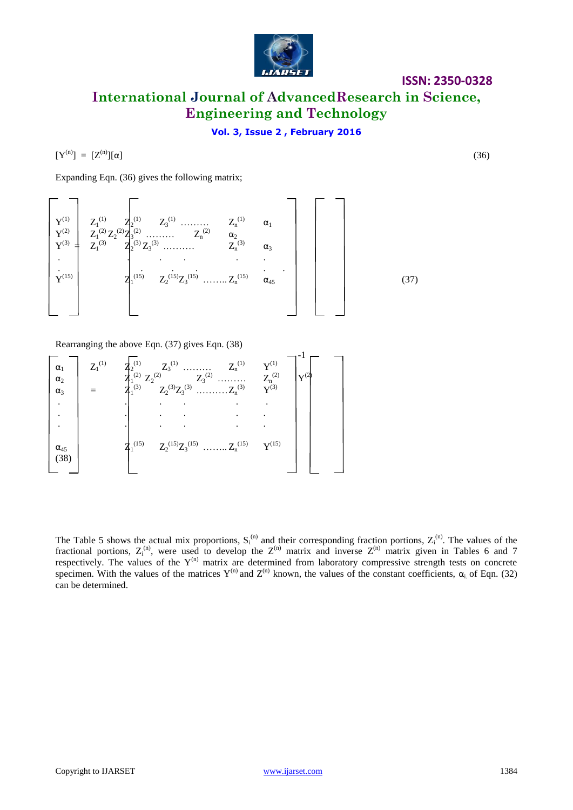

**International Journal of AdvancedResearch in Science, Engineering and Technology**

### **Vol. 3, Issue 2 , February 2016**

 $[Y^{(n)}] = [Z^{(n)}][\alpha]$  (36)

Expanding Eqn. (36) gives the following matrix;



Rearranging the above Eqn. (37) gives Eqn. (38)

| $\alpha_1$<br>$\alpha_2$<br>$\alpha_3$ | $Z_1^{(1)}$ |                    | $Z_3$ <sup>(1)</sup><br>$\begin{array}{ccccc}Z_2^{(1)}&Z_3^{(1)}&\ldots\ldots\ldots&Z_n^{(1)}\\ Z_1^{(2)}&Z_2^{(2)}&Z_3^{(2)}&\ldots\ldots\ldots\\ Z_1^{(3)}&Z_2^{(3)}Z_3^{(3)}&\ldots\ldots\ldots Z_n^{(3)}\\ \end{array}$ | $Z_n^{(1)}$ | (1) $Y^{(1)}$<br>$Z_n^{(2)}$<br>$Y^{(3)}$ |  |
|----------------------------------------|-------------|--------------------|-----------------------------------------------------------------------------------------------------------------------------------------------------------------------------------------------------------------------------|-------------|-------------------------------------------|--|
|                                        |             |                    |                                                                                                                                                                                                                             |             |                                           |  |
|                                        |             |                    |                                                                                                                                                                                                                             |             |                                           |  |
|                                        |             |                    |                                                                                                                                                                                                                             |             |                                           |  |
| $\alpha_{45}$<br>(38)                  |             | $\bar{z}_1^{(15)}$ | $Z_2^{(15)}Z_3^{(15)}$ $Z_n^{(15)}$                                                                                                                                                                                         |             | ${\bf V}^{(15)}$                          |  |

The Table 5 shows the actual mix proportions,  $S_i^{(n)}$  and their corresponding fraction portions,  $Z_i^{(n)}$ . The values of the fractional portions,  $Z_i^{(n)}$ , were used to develop the  $Z^{(n)}$  matrix and inverse  $Z^{(n)}$  matrix given in Tables 6 and 7 respectively. The values of the  $Y^{(n)}$  matrix are determined from laboratory compressive strength tests on concrete specimen. With the values of the matrices  $Y^{(n)}$  and  $Z^{(n)}$  known, the values of the constant coefficients,  $\alpha_i$  of Eqn. (32) can be determined.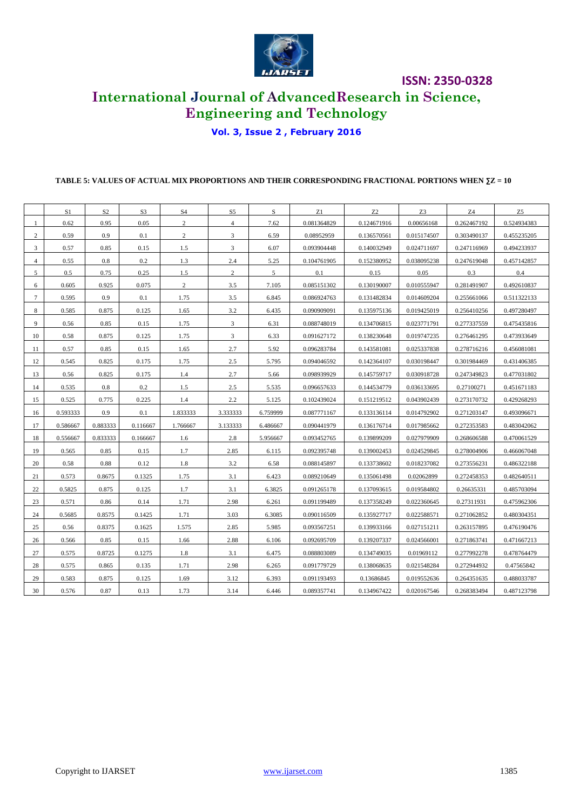

## **International Journal of AdvancedResearch in Science, Engineering and Technology**

### **Vol. 3, Issue 2 , February 2016**

### **TABLE 5: VALUES OF ACTUAL MIX PROPORTIONS AND THEIR CORRESPONDING FRACTIONAL PORTIONS WHEN ∑Z = 10**

|                | S1       | S <sub>2</sub> | S <sub>3</sub> | S <sub>4</sub> | S <sub>5</sub> | S        | Z1          | Z2          | Z <sub>3</sub> | Z4          | Z <sub>5</sub> |
|----------------|----------|----------------|----------------|----------------|----------------|----------|-------------|-------------|----------------|-------------|----------------|
| 1              | 0.62     | 0.95           | 0.05           | $\overline{2}$ | $\overline{4}$ | 7.62     | 0.081364829 | 0.124671916 | 0.00656168     | 0.262467192 | 0.524934383    |
| $\overline{c}$ | 0.59     | 0.9            | 0.1            | $\overline{c}$ | 3              | 6.59     | 0.08952959  | 0.136570561 | 0.015174507    | 0.303490137 | 0.455235205    |
| 3              | 0.57     | 0.85           | 0.15           | 1.5            | 3              | 6.07     | 0.093904448 | 0.140032949 | 0.024711697    | 0.247116969 | 0.494233937    |
| 4              | 0.55     | 0.8            | 0.2            | 1.3            | 2.4            | 5.25     | 0.104761905 | 0.152380952 | 0.038095238    | 0.247619048 | 0.457142857    |
| 5              | 0.5      | 0.75           | 0.25           | 1.5            | 2              | 5        | 0.1         | 0.15        | 0.05           | 0.3         | 0.4            |
| 6              | 0.605    | 0.925          | 0.075          | $\overline{c}$ | 3.5            | 7.105    | 0.085151302 | 0.130190007 | 0.010555947    | 0.281491907 | 0.492610837    |
| 7              | 0.595    | 0.9            | 0.1            | 1.75           | 3.5            | 6.845    | 0.086924763 | 0.131482834 | 0.014609204    | 0.255661066 | 0.511322133    |
| 8              | 0.585    | 0.875          | 0.125          | 1.65           | 3.2            | 6.435    | 0.090909091 | 0.135975136 | 0.019425019    | 0.256410256 | 0.497280497    |
| 9              | 0.56     | 0.85           | 0.15           | 1.75           | 3              | 6.31     | 0.088748019 | 0.134706815 | 0.023771791    | 0.277337559 | 0.475435816    |
| 10             | 0.58     | 0.875          | 0.125          | 1.75           | 3              | 6.33     | 0.091627172 | 0.138230648 | 0.019747235    | 0.276461295 | 0.473933649    |
| 11             | 0.57     | 0.85           | 0.15           | 1.65           | 2.7            | 5.92     | 0.096283784 | 0.143581081 | 0.025337838    | 0.278716216 | 0.456081081    |
| 12             | 0.545    | 0.825          | 0.175          | 1.75           | 2.5            | 5.795    | 0.094046592 | 0.142364107 | 0.030198447    | 0.301984469 | 0.431406385    |
| 13             | 0.56     | 0.825          | 0.175          | 1.4            | 2.7            | 5.66     | 0.098939929 | 0.145759717 | 0.030918728    | 0.247349823 | 0.477031802    |
| 14             | 0.535    | $0.8\,$        | 0.2            | 1.5            | 2.5            | 5.535    | 0.096657633 | 0.144534779 | 0.036133695    | 0.27100271  | 0.451671183    |
| 15             | 0.525    | 0.775          | 0.225          | 1.4            | 2.2            | 5.125    | 0.102439024 | 0.151219512 | 0.043902439    | 0.273170732 | 0.429268293    |
| 16             | 0.593333 | 0.9            | 0.1            | 1.833333       | 3.333333       | 6.759999 | 0.087771167 | 0.133136114 | 0.014792902    | 0.271203147 | 0.493096671    |
| 17             | 0.586667 | 0.883333       | 0.116667       | 1.766667       | 3.133333       | 6.486667 | 0.090441979 | 0.136176714 | 0.017985662    | 0.272353583 | 0.483042062    |
| 18             | 0.556667 | 0.833333       | 0.166667       | 1.6            | 2.8            | 5.956667 | 0.093452765 | 0.139899209 | 0.027979909    | 0.268606588 | 0.470061529    |
| 19             | 0.565    | 0.85           | 0.15           | 1.7            | 2.85           | 6.115    | 0.092395748 | 0.139002453 | 0.024529845    | 0.278004906 | 0.466067048    |
| 20             | 0.58     | 0.88           | 0.12           | 1.8            | 3.2            | 6.58     | 0.088145897 | 0.133738602 | 0.018237082    | 0.273556231 | 0.486322188    |
| 21             | 0.573    | 0.8675         | 0.1325         | 1.75           | 3.1            | 6.423    | 0.089210649 | 0.135061498 | 0.02062899     | 0.272458353 | 0.482640511    |
| 22             | 0.5825   | 0.875          | 0.125          | 1.7            | 3.1            | 6.3825   | 0.091265178 | 0.137093615 | 0.019584802    | 0.26635331  | 0.485703094    |
| 23             | 0.571    | 0.86           | 0.14           | 1.71           | 2.98           | 6.261    | 0.091199489 | 0.137358249 | 0.022360645    | 0.27311931  | 0.475962306    |
| 24             | 0.5685   | 0.8575         | 0.1425         | 1.71           | 3.03           | 6.3085   | 0.090116509 | 0.135927717 | 0.022588571    | 0.271062852 | 0.480304351    |
| 25             | 0.56     | 0.8375         | 0.1625         | 1.575          | 2.85           | 5.985    | 0.093567251 | 0.139933166 | 0.027151211    | 0.263157895 | 0.476190476    |
| 26             | 0.566    | 0.85           | 0.15           | 1.66           | 2.88           | 6.106    | 0.092695709 | 0.139207337 | 0.024566001    | 0.271863741 | 0.471667213    |
| 27             | 0.575    | 0.8725         | 0.1275         | 1.8            | 3.1            | 6.475    | 0.088803089 | 0.134749035 | 0.01969112     | 0.277992278 | 0.478764479    |
| 28             | 0.575    | 0.865          | 0.135          | 1.71           | 2.98           | 6.265    | 0.091779729 | 0.138068635 | 0.021548284    | 0.272944932 | 0.47565842     |
| 29             | 0.583    | 0.875          | 0.125          | 1.69           | 3.12           | 6.393    | 0.091193493 | 0.13686845  | 0.019552636    | 0.264351635 | 0.488033787    |
| 30             | 0.576    | 0.87           | 0.13           | 1.73           | 3.14           | 6.446    | 0.089357741 | 0.134967422 | 0.020167546    | 0.268383494 | 0.487123798    |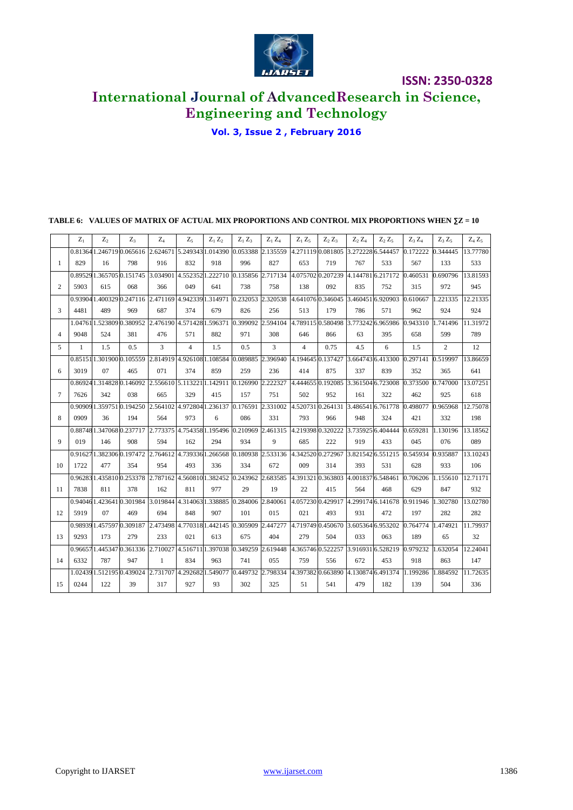

## **International Journal of AdvancedResearch in Science, Engineering and Technology**

**Vol. 3, Issue 2 , February 2016**

## **TABLE 6: VALUES OF MATRIX OF ACTUAL MIX PROPORTIONS AND CONTROL MIX PROPORTIONS WHEN ∑Z = 10**

|                | $Z_1$        | Z <sub>2</sub>          | $Z_3$                                                                  | $Z_4$                      | Z <sub>5</sub>   | $Z_1 Z_2$                           | $Z_1 Z_3$                                    | $Z_1 Z_4$     | $Z_1 Z_5$         | $Z_2 Z_3$         | $Z_2$ $Z_4$       | $Z_2 Z_5$ | $Z_3 Z_4$ | $Z_3 Z_5$      | $Z_4 Z_5$ |
|----------------|--------------|-------------------------|------------------------------------------------------------------------|----------------------------|------------------|-------------------------------------|----------------------------------------------|---------------|-------------------|-------------------|-------------------|-----------|-----------|----------------|-----------|
|                |              |                         | 0.813641.2467190.065616                                                | 2.624671 5.249343 1.014390 |                  |                                     | 0.053388                                     | 2.135559      |                   | 4.271119 0.081805 | 3.272228 6.544457 |           | 0.172222  | 0.344445       | 13.77780  |
| 1              | 829          | 16                      | 798                                                                    | 916                        | 832              | 918                                 | 996                                          | 827           | 653               | 719               | 767               | 533       | 567       | 133            | 533       |
|                |              | 0.895291.3657050.151745 |                                                                        | 3.034901                   | 4.5523521.222710 |                                     | 0.135856                                     | 2.717134      | 4.075702 0.207239 |                   | 4.1447816.217172  |           | 0.460531  | 0.690796       | 13.81593  |
| $\overline{c}$ | 5903         | 615                     | 068                                                                    | 366                        | 049              | 641                                 | 738                                          | 758           | 138               | 092               | 835               | 752       | 315       | 972            | 945       |
|                | 0.93904      |                         | 1.400329 0.247116                                                      | 2.471169 4.942339 1.314971 |                  |                                     | 0.232053                                     | 2.320538      |                   | 4.641076 0.346045 | 3.4604516.920903  |           | 0.610667  | .221335        | 12.21335  |
| 3              | 4481         | 489                     | 969                                                                    | 687                        | 374              | 679                                 | 826                                          | 256           | 513               | 179               | 786               | 571       | 962       | 924            | 924       |
|                |              |                         | 1.04761 1.523809 0.380952 2.476190 4.571428 1.596371 0.399092 2.594104 |                            |                  |                                     |                                              |               | 4.789115 0.580498 |                   | 3.773242 6.965986 |           | 0.943310  | 1.741496       | 11.31972  |
| $\overline{4}$ | 9048         | 524                     | 381                                                                    | 476                        | 571              | 882                                 | 971                                          | 308           | 646               | 866               | 63                | 395       | 658       | 599            | 789       |
| 5              | $\mathbf{1}$ | 1.5                     | 0.5                                                                    | 3                          | $\overline{4}$   | 1.5                                 | 0.5                                          | 3             | $\overline{4}$    | 0.75              | 4.5               | 6         | 1.5       | $\overline{2}$ | 12        |
|                |              | 0.851511.3019000.105559 |                                                                        | 2.814919 4.926108 1.108584 |                  |                                     | 0.089885                                     | 2.396940      | 4.194645 0.137427 |                   | 3.6647436.413300  |           | 0.297141  | 0.519997       | 13.86659  |
| 6              | 3019         | 07                      | 465                                                                    | 071                        | 374              | 859                                 | 259                                          | 236           | 414               | 875               | 337               | 839       | 352       | 365            | 641       |
|                |              | 0.869241.3148280.146092 |                                                                        | 2.556610 5.113221          |                  | 1.142911                            | 0.126990                                     | .222327       | 4.444655          | 0.192085          | 3.361504 6.723008 |           | 0.373500  | 0.747000       | 13.07251  |
| $\tau$         | 7626         | 342                     | 038                                                                    | 665                        | 329              | 415                                 | 157                                          | 751           | 502               | 952               | 161               | 322       | 462       | 925            | 618       |
|                | 0.90909      |                         | 1.3597510.194250                                                       | 2.564102 4.972804 1.236137 |                  |                                     | 0.176591                                     | 2.331002      |                   | 4.520731 0.264131 | 3.4865416.761778  |           | .498077   | 0.965968       | 12.75078  |
| 8              | 0909         | 36                      | 194                                                                    | 564                        | 973              | 6                                   | 086                                          | 331           | 793               | 966               | 948               | 324       | 421       | 332            | 198       |
|                |              | 0.887481.3470680.237717 |                                                                        |                            |                  | 2.773375 4.754358 1.195496 0.210969 |                                              | 2.461315      |                   | 4.219398 0.320222 | 3.735925 6.404444 |           | 0.659281  | 1.130196       | 13.18562  |
| 9              | 019          | 146                     | 908                                                                    | 594                        | 162              | 294                                 | 934                                          | 9             | 685               | 222               | 919               | 433       | 045       | 076            | 089       |
|                |              | 0.916271.3823060.197472 |                                                                        | 2.764612 4.7393361.266568  |                  |                                     | 0.180938                                     | 2.533136      | 4.342520 0.272967 |                   | 3.8215426.551215  |           | 0.545934  | 0.935887       | 13.10243  |
| 10             | 1722         | 477                     | 354                                                                    | 954                        | 493              | 336                                 | 334                                          | 672           | 009               | 314               | 393               | 531       | 628       | 933            | 106       |
|                |              | 0.962831.4358100.253378 |                                                                        | 2.787162 4.5608101.382452  |                  |                                     | 0.243962                                     | 2.683585      | 4.3913210.363803  |                   | 4.001837 6.548461 |           | 0.706206  | 1.155610       | 12.71171  |
| 11             | 7838         | 811                     | 378                                                                    | 162                        | 811              | 977                                 | 29                                           | 19            | 22                | 415               | 564               | 468       | 629       | 847            | 932       |
|                |              | 0.940461.4236410.301984 |                                                                        | 3.019844 4.314063 1.338885 |                  |                                     | 0.284006                                     | 2.840061      | 4.057230 0.429917 |                   | 4.299174 6.141678 |           | 0.911946  | 302780         | 13.02780  |
| 12             | 5919         | 07                      | 469                                                                    | 694                        | 848              | 907                                 | 101                                          | 015           | 021               | 493               | 931               | 472       | 197       | 282            | 282       |
|                |              | 0.989391.4575970.309187 |                                                                        |                            |                  |                                     | 2.473498 4.770318 1.442145 0.305909 2.447277 |               |                   | 4.719749 0.450670 | 3.605364 6.953202 |           | 0.764774  | .474921        | 11.79937  |
| 13             | 9293         | 173                     | 279                                                                    | 233                        | 021              | 613                                 | 675                                          | 404           | 279               | 504               | 033               | 063       | 189       | 65             | 32        |
|                |              |                         | 0.966571.4453470.361336                                                |                            |                  | 2.710027 4.516711 1.397038 0.349259 |                                              | .619448<br>D. | 4.365746 0.522257 |                   | 3.9169316.528219  |           | 0.979232  | 1.632054       | 12.24041  |
| 14             | 6332         | 787                     | 947                                                                    | $\mathbf{1}$               | 834              | 963                                 | 741                                          | 055           | 759               | 556               | 672               | 453       | 918       | 863            | 147       |
|                |              | 1.024391.5121950.439024 |                                                                        | 2.731707 4.2926821.549077  |                  |                                     | 0.449732                                     | 2.798334      |                   | 4.397382 0.663890 | 4.130874 6.491374 |           | .199286   | .884592        | 11.72635  |
| 15             | 0244         | 122                     | 39                                                                     | 317                        | 927              | 93                                  | 302                                          | 325           | 51                | 541               | 479               | 182       | 139       | 504            | 336       |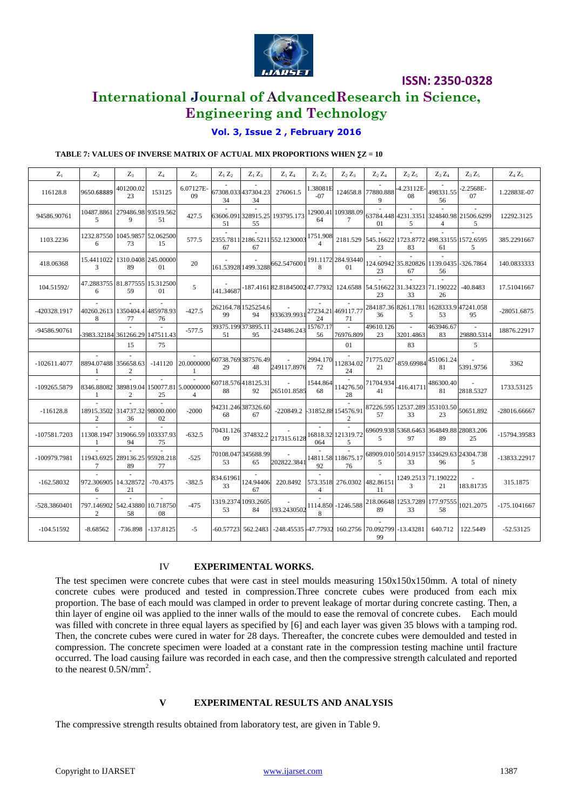

### **International Journal of AdvancedResearch in Science, Engineering and Technology**

### **Vol. 3, Issue 2 , February 2016**

### **TABLE 7: VALUES OF INVERSE MATRIX OF ACTUAL MIX PROPORTIONS WHEN ∑Z = 10**

| $Z_1$          | $Z_2$                               | $Z_3$           | $Z_4$                  | $Z_5$                                                       | $Z_1 Z_2$       | $Z_1 Z_3$                 | $Z_1 Z_4$                                                                       | $Z_1 Z_5$         | $Z_2 Z_3$                    | $Z_2 Z_4$               | $Z_2 Z_5$           | $Z_3 Z_4$                                              | $Z_3Z_5$                                      | $Z_4 Z_5$      |
|----------------|-------------------------------------|-----------------|------------------------|-------------------------------------------------------------|-----------------|---------------------------|---------------------------------------------------------------------------------|-------------------|------------------------------|-------------------------|---------------------|--------------------------------------------------------|-----------------------------------------------|----------------|
| 116128.8       | 9650.68889                          | 401200.02<br>23 | 153125                 | 6.07127E<br>09                                              | 34              | 67308.033 437304.23<br>34 | 276061.5                                                                        | 1.38081E<br>$-07$ |                              | 124658.8 77880.888<br>9 | -4.23112E-<br>08    | 498331.55<br>56                                        | 2.2568E-<br>07                                | 1.22883E-07    |
| 94586.90761    | 10487.8861 279486.98 93519.562<br>5 | 9               | 51                     | 427.5                                                       | 51              | 55                        | 63606.091 328915.25 193795.173                                                  | 64                | 12900.41 109388.09<br>$\tau$ | 01                      | 5                   | 4                                                      | 63784.448 4231.3351 324840.98 21506.6299<br>5 | 12292.3125     |
| 1103.2236      | 1232.87550 1045.9857 52.062500<br>6 | 73              | 15                     | 577.5                                                       | 67              | 67                        | 2355.7811 2186.5211 552.1230003 1751.908                                        |                   |                              | 23                      | 83                  | 2181.529 545.16622 1723.8772 498.33155 1572.6595<br>61 | 5                                             | 385.2291667    |
| 418.06368      | 15.4411022 1310.0408 245.00000<br>3 | 89              | 01                     | 20                                                          |                 |                           | 161.53928 1499.3288 662.5476001                                                 | 8                 | 191.1172 284.93440<br>01     | 23                      | 67                  | 124.60942 35.820826 1139.0435 -326.7864<br>56          |                                               | 140.0833333    |
| 104.51592/     | 47.2883755 81.877555 15.312500<br>6 | 59              | 01                     | 5                                                           | 141.34687       |                           | -187.4161 82.81845002 47.77932 124.6588 54.516622 31.343223 71.190222 - 40.8483 |                   |                              | 23                      | 33                  | 26                                                     |                                               | 17.51041667    |
| -420328.1917   | 40260.2613 1350404.4 485978.93<br>8 | 77              | 76                     | $-427.5$                                                    | 99              | 262164.781525254.6<br>94  | 933639.9931                                                                     | 24                | 27234.21 469117.77<br>71     | 36                      | 5                   | 284187.36 8261.1781 1628333.9 47241.058<br>53          | 95                                            | -28051.6875    |
| -94586.90761   | 3983.32184 361266.29 147511.43      |                 |                        | $-577.5$                                                    | 51              | 39375.199373895.11<br>95  | -243486.243                                                                     | 15767.17<br>56    | $\omega$<br>76976.809        | 49610.126<br>23         | 3201.4863           | 463946.67<br>83                                        | 29880.5314                                    | 18876.22917    |
|                |                                     | 15              | 75                     |                                                             |                 |                           |                                                                                 |                   | 01                           |                         | 83                  |                                                        | 5                                             |                |
| $-102611.4077$ | 8894.07488 356658.63                | 2               | $-141120$              | 20.0000000                                                  | 29              | 60738.769387576.49<br>48  | $\omega$<br>249117.8976                                                         | 2994.170<br>72    | 112834.02<br>24              | 21                      | 71775.027 859.69984 | 451061.24<br>81                                        | 5391.9756                                     | 3362           |
| -109265.5879   | -1                                  | 2               | 25                     | 8346.88082 389819.04 150077.81 5.00000000<br>$\overline{4}$ | 88              | 60718.576418125.31<br>92  | 265101.8585                                                                     | 1544.864<br>68    | 114276.50<br>28              | 71704.934<br>41         |                     | $+416.41711$ <sup>486300.40</sup>                      | 2818.5327                                     | 1733.53125     |
| $-116128.8$    | 18915.3502 314737.32 98000.000<br>2 | 36              | 02                     | $-2000$                                                     | 68              | 94231.246387326.60<br>67  | -220849.2 -31852.88 154576.91                                                   |                   | $\overline{2}$               | 57                      | 33                  | 87226.595 12537.289 353103.50 50651.892<br>23          |                                               | -28016.66667   |
| -107581.7203   | 11308.1947 319066.59 103337.93<br>1 | 94              | 75                     | $-632.5$                                                    | 70431.126<br>09 | 374832.2                  | 217315.6128                                                                     | 064               | 16818.32 121319.72<br>5      | 5                       | 97                  | 69609.938 5368.6463 364849.88 28083.206<br>89          | 25                                            | -15794.39583   |
| -100979.7981   | 11943.6925 289136.25 95928.218<br>7 | 89              | 77                     | $-525$                                                      | 53              | 70108.047 345688.99<br>65 | 202822.3841                                                                     | 92                | 14811.58 118675.17<br>76     | 5                       | 33                  | 68909.010 5014.9157 334629.63 24304.738<br>96          | 5                                             | -13833.22917   |
| $-162.58032$   | 972.306905 14.328572 -70.4375<br>6  | 21              |                        | $-382.5$                                                    | 834.61961<br>33 | 124.94406<br>67           | 220.8492                                                                        | $\overline{4}$    | 573.3518 276.0302 482.86151  | 11                      | $\overline{3}$      | 1249.2513 71.190222<br>21                              | 183.81735                                     | 315.1875       |
| -528.3860401   | 797.146902 542.43880 10.718750<br>2 | 58              | 08                     | $-475$                                                      | 53              | 1319.2374 1093.2605<br>84 | 193.2430502                                                                     | 8                 | 1114.850 -1246.588           | 89                      | 33                  | 218.06648 1253.7289 177.97555<br>58                    | 1021.2075                                     | $-175.1041667$ |
| $-104.51592$   | $-8.68562$                          |                 | $-736.898$ $-137.8125$ | $-5$                                                        |                 |                           | -60.57723  562.2483  -248.45535 -47.77932 160.2756  70.092799  -13.43281        |                   |                              | 99                      |                     | 640.712                                                | 122.5449                                      | $-52.53125$    |

### IV **EXPERIMENTAL WORKS.**

The test specimen were concrete cubes that were cast in steel moulds measuring 150x150x150mm. A total of ninety concrete cubes were produced and tested in compression.Three concrete cubes were produced from each mix proportion. The base of each mould was clamped in order to prevent leakage of mortar during concrete casting. Then, a thin layer of engine oil was applied to the inner walls of the mould to ease the removal of concrete cubes. Each mould was filled with concrete in three equal layers as specified by [6] and each layer was given 35 blows with a tamping rod. Then, the concrete cubes were cured in water for 28 days. Thereafter, the concrete cubes were demoulded and tested in compression. The concrete specimen were loaded at a constant rate in the compression testing machine until fracture occurred. The load causing failure was recorded in each case, and then the compressive strength calculated and reported to the nearest  $0.5N/mm^2$ .

### **V EXPERIMENTAL RESULTS AND ANALYSIS**

The compressive strength results obtained from laboratory test, are given in Table 9.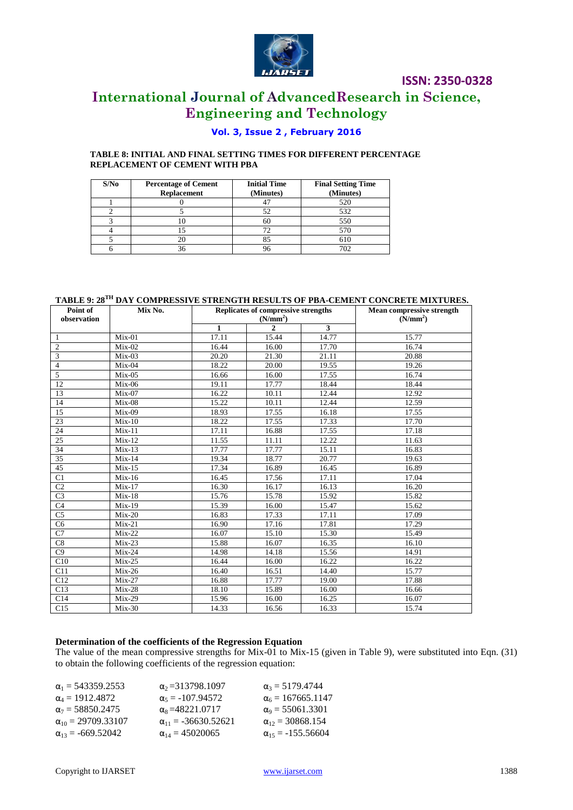

## **International Journal of AdvancedResearch in Science, Engineering and Technology**

### **Vol. 3, Issue 2 , February 2016**

**TABLE 8: INITIAL AND FINAL SETTING TIMES FOR DIFFERENT PERCENTAGE REPLACEMENT OF CEMENT WITH PBA**

| S/No | <b>Percentage of Cement</b><br><b>Replacement</b> | <b>Initial Time</b><br>(Minutes) | <b>Final Setting Time</b><br>(Minutes) |  |  |
|------|---------------------------------------------------|----------------------------------|----------------------------------------|--|--|
|      |                                                   |                                  | 520                                    |  |  |
|      |                                                   | 52                               | 532                                    |  |  |
|      |                                                   | 60                               | 550                                    |  |  |
|      |                                                   |                                  | 570                                    |  |  |
|      |                                                   |                                  | 610                                    |  |  |
|      |                                                   |                                  | 702                                    |  |  |

### **TABLE 9: 28TH DAY COMPRESSIVE STRENGTH RESULTS OF PBA-CEMENT CONCRETE MIXTURES.**

| Point of<br>observation | Mix No.             |              | Replicates of compressive strengths<br>(N/mm <sup>2</sup> ) | <b>Mean compressive strength</b><br>(N/mm <sup>2</sup> ) |       |
|-------------------------|---------------------|--------------|-------------------------------------------------------------|----------------------------------------------------------|-------|
|                         |                     | $\mathbf{1}$ | $\overline{2}$                                              | 3                                                        |       |
| 1                       | $Mix-01$            | 17.11        | 15.44                                                       | 14.77                                                    | 15.77 |
| $\mathbf{2}$            | $Mix-02$            | 16.44        | 16.00                                                       | 17.70                                                    | 16.74 |
| 3                       | $Mix-03$            | 20.20        | 21.30                                                       | 21.11                                                    | 20.88 |
| $\overline{4}$          | $Mix-04$            | 18.22        | 20.00                                                       | 19.55                                                    | 19.26 |
| 5                       | $Mix-05$            | 16.66        | 16.00                                                       | 17.55                                                    | 16.74 |
| 12                      | $Mix-06$            | 19.11        | 17.77                                                       | 18.44                                                    | 18.44 |
| 13                      | $Mix-07$            | 16.22        | 10.11                                                       | 12.44                                                    | 12.92 |
| 14                      | $Mix-08$            | 15.22        | 10.11                                                       | 12.44                                                    | 12.59 |
| 15                      | $Mix-09$            | 18.93        | 17.55                                                       | 16.18                                                    | 17.55 |
| 23                      | $Mix-10$            | 18.22        | 17.55                                                       | 17.33                                                    | 17.70 |
| 24                      | $Mix-11$            | 17.11        | 16.88                                                       | 17.55                                                    | 17.18 |
| 25                      | $Mix-12$            | 11.55        | 11.11                                                       | 12.22                                                    | 11.63 |
| 34                      | $Mix-13$            | 17.77        | 17.77                                                       | 15.11                                                    | 16.83 |
| 35                      | $Mix-14$            | 19.34        | 18.77                                                       | 20.77                                                    | 19.63 |
| 45                      | $Mix-15$            | 17.34        | 16.89                                                       | 16.45                                                    | 16.89 |
| C <sub>1</sub>          | $Mix-16$            | 16.45        | 17.56                                                       | 17.11                                                    | 17.04 |
| C <sub>2</sub>          | $Mix-17$            | 16.30        | 16.17                                                       | 16.13                                                    | 16.20 |
| C <sub>3</sub>          | $Mix-18$            | 15.76        | 15.78                                                       | 15.92                                                    | 15.82 |
| C <sub>4</sub>          | $Mix-19$            | 15.39        | 16.00                                                       | 15.47                                                    | 15.62 |
| $\overline{C5}$         | $Mix-20$            | 16.83        | 17.33                                                       | 17.11                                                    | 17.09 |
| $\overline{C6}$         | $Mix-21$            | 16.90        | 17.16                                                       | 17.81                                                    | 17.29 |
| $\overline{C7}$         | $Mix-22$            | 16.07        | 15.10                                                       | 15.30                                                    | 15.49 |
| C8                      | $\overline{Mix-23}$ | 15.88        | 16.07                                                       | 16.35                                                    | 16.10 |
| $\overline{C9}$         | $Mix-24$            | 14.98        | 14.18                                                       | 15.56                                                    | 14.91 |
| $\overline{C10}$        | $Mix-25$            | 16.44        | 16.00                                                       | 16.22                                                    | 16.22 |
| C11                     | $Mix-26$            | 16.40        | 16.51                                                       | 14.40                                                    | 15.77 |
| C12                     | $Mix-27$            | 16.88        | 17.77                                                       | 19.00                                                    | 17.88 |
| C13                     | $Mix-28$            | 18.10        | 15.89                                                       | 16.00                                                    | 16.66 |
| C14                     | $Mix-29$            | 15.96        | 16.00                                                       | 16.25                                                    | 16.07 |
| C15                     | $Mix-30$            | 14.33        | 16.56                                                       | 16.33                                                    | 15.74 |

### **Determination of the coefficients of the Regression Equation**

The value of the mean compressive strengths for Mix-01 to Mix-15 (given in Table 9), were substituted into Eqn. (31) to obtain the following coefficients of the regression equation:

| $\alpha_1 = 543359.2553$<br>$\alpha_2$ =313798.1097         | $\alpha_3 = 5179.4744$     |
|-------------------------------------------------------------|----------------------------|
| $\alpha_1 = 1912.4872$<br>$\alpha_5 = -107.94572$           | $\alpha_6 = 167665.1147$   |
| $\alpha_7 = 58850.2475$<br>$\alpha_8 = 48221.0717$          | $\alpha_9 = 55061.3301$    |
| $\alpha_{10} = 29709.33107$<br>$\alpha_{11} = -36630.52621$ | $\alpha_{12} = 30868.154$  |
| $\alpha_{13} = -669.52042$<br>$\alpha_{14} = 45020065$      | $\alpha_{15} = -155.56604$ |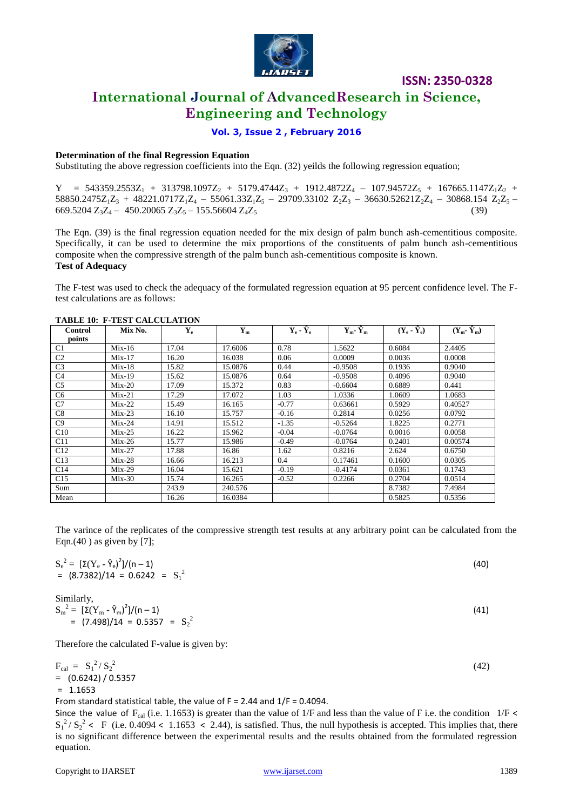

### **International Journal of AdvancedResearch in Science, Engineering and Technology**

### **Vol. 3, Issue 2 , February 2016**

### **Determination of the final Regression Equation**

Substituting the above regression coefficients into the Eqn. (32) yeilds the following regression equation;

 $Y = 543359.2553Z_1 + 313798.1097Z_2 + 5179.4744Z_3 + 1912.4872Z_4 - 107.94572Z_5 + 167665.1147Z_1Z_2 +$  $58850.2475Z_1Z_3 + 48221.0717Z_1Z_4 - 55061.33Z_1Z_5 - 29709.33102 Z_2Z_3 - 36630.52621Z_2Z_4 - 30868.154 Z_2Z_5 - 29709.33102 Z_5Z_5 - 36630.52621Z_2Z_4 - 30868.154 Z_2Z_5 - 3085Z_2Z_5 - 385Z_2Z_5 - 385Z_2Z_5 - 385Z_2Z_5 - 385Z_2Z_5 - 38$  $669.5204 \text{ Z}_3\text{Z}_4 - 450.20065 \text{ Z}_3\text{Z}_5 - 155.56604 \text{ Z}_4\text{Z}_5$  (39)

The Eqn. (39) is the final regression equation needed for the mix design of palm bunch ash-cementitious composite. Specifically, it can be used to determine the mix proportions of the constituents of palm bunch ash-cementitious composite when the compressive strength of the palm bunch ash-cementitious composite is known.

### **Test of Adequacy**

The F-test was used to check the adequacy of the formulated regression equation at 95 percent confidence level. The Ftest calculations are as follows:

| Control        | Mix No.  | $\mathbf{Y}_{e}$ | ${\bf Y_m}$ | $Y_e - \hat{Y}_e$ | $Y_m$ - $\hat{Y}_m$ | $(Y_e - \hat{Y}_e)$ | $(Y_m - \hat{Y}_m)$ |
|----------------|----------|------------------|-------------|-------------------|---------------------|---------------------|---------------------|
| points         |          |                  |             |                   |                     |                     |                     |
|                |          |                  |             |                   |                     |                     |                     |
| C <sub>1</sub> | $Mix-16$ | 17.04            | 17.6006     | 0.78              | 1.5622              | 0.6084              | 2.4405              |
| C <sub>2</sub> | $Mix-17$ | 16.20            | 16.038      | 0.06              | 0.0009              | 0.0036              | 0.0008              |
| C <sub>3</sub> | $Mix-18$ | 15.82            | 15.0876     | 0.44              | $-0.9508$           | 0.1936              | 0.9040              |
| C <sub>4</sub> | $Mix-19$ | 15.62            | 15.0876     | 0.64              | $-0.9508$           | 0.4096              | 0.9040              |
| C <sub>5</sub> | $Mix-20$ | 17.09            | 15.372      | 0.83              | $-0.6604$           | 0.6889              | 0.441               |
| C <sub>6</sub> | $Mix-21$ | 17.29            | 17.072      | 1.03              | 1.0336              | 1.0609              | 1.0683              |
| C7             | $Mix-22$ | 15.49            | 16.165      | $-0.77$           | 0.63661             | 0.5929              | 0.40527             |
| C8             | $Mix-23$ | 16.10            | 15.757      | $-0.16$           | 0.2814              | 0.0256              | 0.0792              |
| C9             | $Mix-24$ | 14.91            | 15.512      | $-1.35$           | $-0.5264$           | 1.8225              | 0.2771              |
| C10            | $Mix-25$ | 16.22            | 15.962      | $-0.04$           | $-0.0764$           | 0.0016              | 0.0058              |
| C11            | $Mix-26$ | 15.77            | 15.986      | $-0.49$           | $-0.0764$           | 0.2401              | 0.00574             |
| C12            | $Mix-27$ | 17.88            | 16.86       | 1.62              | 0.8216              | 2.624               | 0.6750              |
| C13            | $Mix-28$ | 16.66            | 16.213      | 0.4               | 0.17461             | 0.1600              | 0.0305              |
| C14            | $Mix-29$ | 16.04            | 15.621      | $-0.19$           | $-0.4174$           | 0.0361              | 0.1743              |
| C15            | $Mix-30$ | 15.74            | 16.265      | $-0.52$           | 0.2266              | 0.2704              | 0.0514              |
| Sum            |          | 243.9            | 240.576     |                   |                     | 8.7382              | 7.4984              |
| Mean           |          | 16.26            | 16.0384     |                   |                     | 0.5825              | 0.5356              |

#### **TABLE 10: F-TEST CALCULATION**

The varince of the replicates of the compressive strength test results at any arbitrary point can be calculated from the Eqn.(40) as given by  $[7]$ ;

$$
S_e^2 = \left[\Sigma(Y_e - \hat{Y}_e)^2\right]/(n-1)
$$
  
= (8.7382)/14 = 0.6242 = S<sub>1</sub><sup>2</sup> (40)

Similarly,

| $S_m^2 = [\Sigma(Y_m - \hat{Y}_m)^2]/(n-1)$ | (41) |
|---------------------------------------------|------|
| = $(7.498)/14$ = 0.5357 = $S_2^2$           |      |

Therefore the calculated F-value is given by:

$$
F_{cal} = S_1^2 / S_2^2
$$
  
= (0.6242) / 0.5357  
= 1.1653

From standard statistical table, the value of  $F = 2.44$  and  $1/F = 0.4094$ .

Since the value of  $F_{cal}$  (i.e. 1.1653) is greater than the value of 1/F and less than the value of F i.e. the condition 1/F <  $S_1^2/S_2^2 \leftarrow F$  (i.e. 0.4094  $\leftarrow$  1.1653  $\leftarrow$  2.44), is satisfied. Thus, the null hypothesis is accepted. This implies that, there is no significant difference between the experimental results and the results obtained from the formulated regression equation.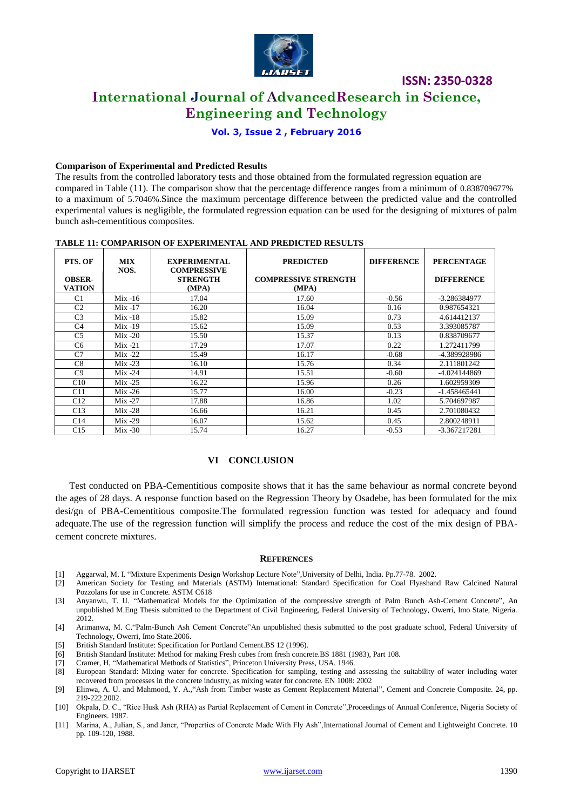

### **International Journal of AdvancedResearch in Science, Engineering and Technology**

**Vol. 3, Issue 2 , February 2016**

#### **Comparison of Experimental and Predicted Results**

The results from the controlled laboratory tests and those obtained from the formulated regression equation are compared in Table (11). The comparison show that the percentage difference ranges from a minimum of 0.838709677% to a maximum of 5.7046%.Since the maximum percentage difference between the predicted value and the controlled experimental values is negligible, the formulated regression equation can be used for the designing of mixtures of palm bunch ash-cementitious composites.

| LADDD II. COMLANDON OL BALBINIIEN LAD AND I NEDICTED NEDULTO |                    |                                                                       |                                                          |                   |                                        |  |  |  |
|--------------------------------------------------------------|--------------------|-----------------------------------------------------------------------|----------------------------------------------------------|-------------------|----------------------------------------|--|--|--|
| PTS. OF<br><b>OBSER-</b><br><b>VATION</b>                    | <b>MIX</b><br>NOS. | <b>EXPERIMENTAL</b><br><b>COMPRESSIVE</b><br><b>STRENGTH</b><br>(MPA) | <b>PREDICTED</b><br><b>COMPRESSIVE STRENGTH</b><br>(MPA) | <b>DIFFERENCE</b> | <b>PERCENTAGE</b><br><b>DIFFERENCE</b> |  |  |  |
| C <sub>1</sub>                                               | $Mix -16$          | 17.04                                                                 | 17.60                                                    | $-0.56$           | -3.286384977                           |  |  |  |
| C <sub>2</sub>                                               | $Mix -17$          | 16.20                                                                 | 16.04                                                    | 0.16              | 0.987654321                            |  |  |  |
| C <sub>3</sub>                                               | Mix -18            | 15.82                                                                 | 15.09                                                    | 0.73              | 4.614412137                            |  |  |  |
| C <sub>4</sub>                                               | $Mix -19$          | 15.62                                                                 | 15.09                                                    | 0.53              | 3.393085787                            |  |  |  |
| C <sub>5</sub>                                               | $Mix -20$          | 15.50                                                                 | 15.37                                                    | 0.13              | 0.838709677                            |  |  |  |
| C <sub>6</sub>                                               | $Mix -21$          | 17.29                                                                 | 17.07                                                    | 0.22              | 1.272411799                            |  |  |  |
| C <sub>7</sub>                                               | $Mix -22$          | 15.49                                                                 | 16.17                                                    | $-0.68$           | -4.389928986                           |  |  |  |
| C8                                                           | $Mix -23$          | 16.10                                                                 | 15.76                                                    | 0.34              | 2.111801242                            |  |  |  |
| C9                                                           | $Mix -24$          | 14.91                                                                 | 15.51                                                    | $-0.60$           | -4.024144869                           |  |  |  |
| C10                                                          | $Mix -25$          | 16.22                                                                 | 15.96                                                    | 0.26              | 1.602959309                            |  |  |  |
| C11                                                          | $Mix -26$          | 15.77                                                                 | 16.00                                                    | $-0.23$           | $-1.458465441$                         |  |  |  |
| C12                                                          | $Mix -27$          | 17.88                                                                 | 16.86                                                    | 1.02              | 5.704697987                            |  |  |  |
| C13                                                          | $Mix -28$          | 16.66                                                                 | 16.21                                                    | 0.45              | 2.701080432                            |  |  |  |
| C <sub>14</sub>                                              | $Mix -29$          | 16.07                                                                 | 15.62                                                    | 0.45              | 2.800248911                            |  |  |  |
| C15                                                          | $Mix -30$          | 15.74                                                                 | 16.27                                                    | $-0.53$           | -3.367217281                           |  |  |  |

### **TABLE 11: COMPARISON OF EXPERIMENTAL AND PREDICTED RESULTS**

### **VI CONCLUSION**

Test conducted on PBA-Cementitious composite shows that it has the same behaviour as normal concrete beyond the ages of 28 days. A response function based on the Regression Theory by Osadebe, has been formulated for the mix desi/gn of PBA-Cementitious composite.The formulated regression function was tested for adequacy and found adequate.The use of the regression function will simplify the process and reduce the cost of the mix design of PBAcement concrete mixtures.

#### **REFERENCES**

- [1] Aggarwal, M. I. "Mixture Experiments Design Workshop Lecture Note",University of Delhi, India. Pp.77-78. 2002.
- [2] American Society for Testing and Materials (ASTM) International: Standard Specification for Coal Flyashand Raw Calcined Natural Pozzolans for use in Concrete. ASTM C618
- [3] Anyanwu, T. U. "Mathematical Models for the Optimization of the compressive strength of Palm Bunch Ash-Cement Concrete", An unpublished M.Eng Thesis submitted to the Department of Civil Engineering, Federal University of Technology, Owerri, Imo State, Nigeria. 2012.
- [4] Arimanwa, M. C."Palm-Bunch Ash Cement Concrete"An unpublished thesis submitted to the post graduate school, Federal University of Technology, Owerri, Imo State.2006.
- [5] British Standard Institute: Specification for Portland Cement.BS 12 (1996).
- [6] British Standard Institute: Method for making Fresh cubes from fresh concrete.BS 1881 (1983), Part 108.
- [7] Cramer, H, "Mathematical Methods of Statistics", Princeton University Press, USA. 1946.
- [8] European Standard: Mixing water for concrete. Specification for sampling, testing and assessing the suitability of water including water recovered from processes in the concrete industry, as mixing water for concrete. EN 1008: 2002
- [9] Elinwa, A. U. and Mahmood, Y. A.,"Ash from Timber waste as Cement Replacement Material", Cement and Concrete Composite. 24, pp. 219-222.2002.
- [10] Okpala, D. C., "Rice Husk Ash (RHA) as Partial Replacement of Cement in Concrete",Proceedings of Annual Conference, Nigeria Society of Engineers. 1987.
- [11] Marina, A., Julian, S., and Janer, "Properties of Concrete Made With Fly Ash",International Journal of Cement and Lightweight Concrete. 10 pp. 109-120, 1988.